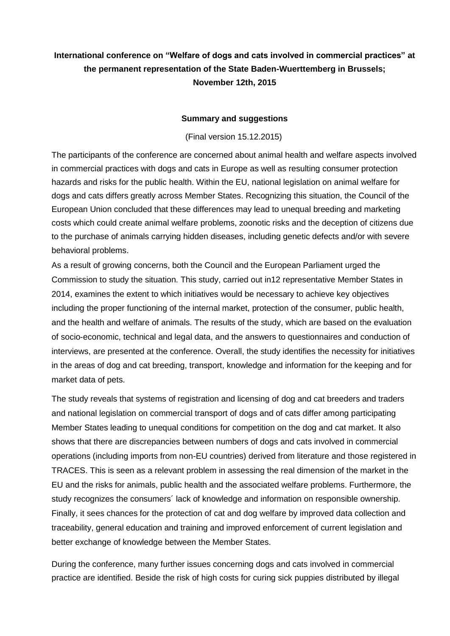## **International conference on "Welfare of dogs and cats involved in commercial practices" at the permanent representation of the State Baden-Wuerttemberg in Brussels; November 12th, 2015**

## **Summary and suggestions**

(Final version 15.12.2015)

The participants of the conference are concerned about animal health and welfare aspects involved in commercial practices with dogs and cats in Europe as well as resulting consumer protection hazards and risks for the public health. Within the EU, national legislation on animal welfare for dogs and cats differs greatly across Member States. Recognizing this situation, the Council of the European Union concluded that these differences may lead to unequal breeding and marketing costs which could create animal welfare problems, zoonotic risks and the deception of citizens due to the purchase of animals carrying hidden diseases, including genetic defects and/or with severe behavioral problems.

As a result of growing concerns, both the Council and the European Parliament urged the Commission to study the situation. This study, carried out in12 representative Member States in 2014, examines the extent to which initiatives would be necessary to achieve key objectives including the proper functioning of the internal market, protection of the consumer, public health, and the health and welfare of animals. The results of the study, which are based on the evaluation of socio-economic, technical and legal data, and the answers to questionnaires and conduction of interviews, are presented at the conference. Overall, the study identifies the necessity for initiatives in the areas of dog and cat breeding, transport, knowledge and information for the keeping and for market data of pets.

The study reveals that systems of registration and licensing of dog and cat breeders and traders and national legislation on commercial transport of dogs and of cats differ among participating Member States leading to unequal conditions for competition on the dog and cat market. It also shows that there are discrepancies between numbers of dogs and cats involved in commercial operations (including imports from non-EU countries) derived from literature and those registered in TRACES. This is seen as a relevant problem in assessing the real dimension of the market in the EU and the risks for animals, public health and the associated welfare problems. Furthermore, the study recognizes the consumers´ lack of knowledge and information on responsible ownership. Finally, it sees chances for the protection of cat and dog welfare by improved data collection and traceability, general education and training and improved enforcement of current legislation and better exchange of knowledge between the Member States.

During the conference, many further issues concerning dogs and cats involved in commercial practice are identified. Beside the risk of high costs for curing sick puppies distributed by illegal